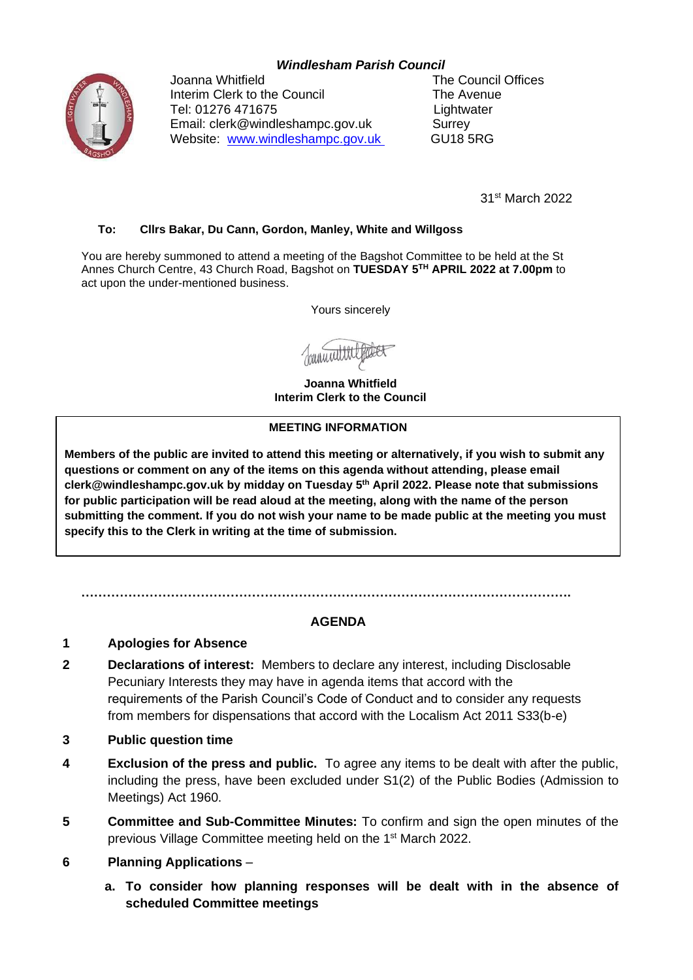## *Windlesham Parish Council*



Joanna Whitfield **The Council Offices** Interim Clerk to the Council The Avenue Tel: 01276 471675 Lightwater Email: clerk@windleshampc.gov.uk Surrey Website: [www.windleshampc.gov.uk](http://www.windleshampc.gov.uk/) GU18 5RG

31st March 2022

#### **To: Cllrs Bakar, Du Cann, Gordon, Manley, White and Willgoss**

You are hereby summoned to attend a meeting of the Bagshot Committee to be held at the St Annes Church Centre, 43 Church Road, Bagshot on **TUESDAY 5 TH APRIL 2022 at 7.00pm** to act upon the under-mentioned business.

Yours sincerely

muum

**Joanna Whitfield Interim Clerk to the Council**

#### **MEETING INFORMATION**

**Members of the public are invited to attend this meeting or alternatively, if you wish to submit any questions or comment on any of the items on this agenda without attending, please email clerk@windleshampc.gov.uk by midday on Tuesday 5 th April 2022. Please note that submissions for public participation will be read aloud at the meeting, along with the name of the person submitting the comment. If you do not wish your name to be made public at the meeting you must specify this to the Clerk in writing at the time of submission.**

# **AGENDA**

# **1 Apologies for Absence**

**2 Declarations of interest:** Members to declare any interest, including Disclosable Pecuniary Interests they may have in agenda items that accord with the requirements of the Parish Council's Code of Conduct and to consider any requests from members for dispensations that accord with the Localism Act 2011 S33(b-e)

**…………………………………………………………………………………………………….**

- **3 Public question time**
- **4 Exclusion of the press and public.** To agree any items to be dealt with after the public, including the press, have been excluded under S1(2) of the Public Bodies (Admission to Meetings) Act 1960.
- **5 Committee and Sub-Committee Minutes:** To confirm and sign the open minutes of the previous Village Committee meeting held on the 1<sup>st</sup> March 2022.
- **6 Planning Applications**
	- **a. To consider how planning responses will be dealt with in the absence of scheduled Committee meetings**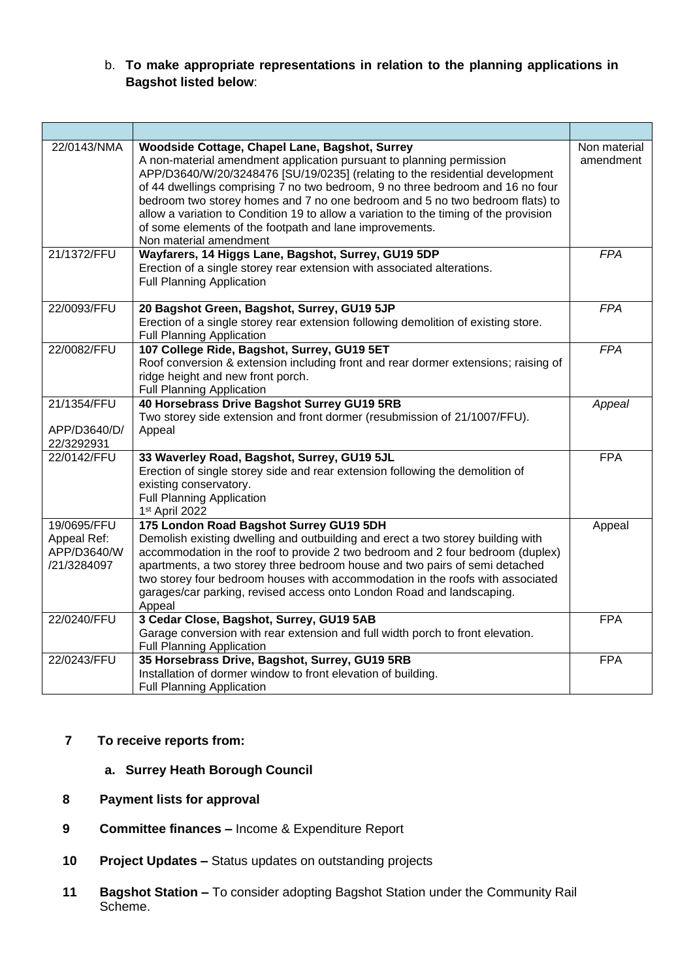# b. **To make appropriate representations in relation to the planning applications in Bagshot listed below**:

| 22/0143/NMA                                              | Woodside Cottage, Chapel Lane, Bagshot, Surrey<br>A non-material amendment application pursuant to planning permission<br>APP/D3640/W/20/3248476 [SU/19/0235] (relating to the residential development<br>of 44 dwellings comprising 7 no two bedroom, 9 no three bedroom and 16 no four<br>bedroom two storey homes and 7 no one bedroom and 5 no two bedroom flats) to<br>allow a variation to Condition 19 to allow a variation to the timing of the provision<br>of some elements of the footpath and lane improvements.<br>Non material amendment | Non material<br>amendment |
|----------------------------------------------------------|--------------------------------------------------------------------------------------------------------------------------------------------------------------------------------------------------------------------------------------------------------------------------------------------------------------------------------------------------------------------------------------------------------------------------------------------------------------------------------------------------------------------------------------------------------|---------------------------|
| 21/1372/FFU                                              | Wayfarers, 14 Higgs Lane, Bagshot, Surrey, GU19 5DP<br>Erection of a single storey rear extension with associated alterations.<br><b>Full Planning Application</b>                                                                                                                                                                                                                                                                                                                                                                                     | <b>FPA</b>                |
| 22/0093/FFU                                              | 20 Bagshot Green, Bagshot, Surrey, GU19 5JP<br>Erection of a single storey rear extension following demolition of existing store.<br><b>Full Planning Application</b>                                                                                                                                                                                                                                                                                                                                                                                  | <b>FPA</b>                |
| 22/0082/FFU                                              | 107 College Ride, Bagshot, Surrey, GU19 5ET<br>Roof conversion & extension including front and rear dormer extensions; raising of<br>ridge height and new front porch.<br><b>Full Planning Application</b>                                                                                                                                                                                                                                                                                                                                             | FPA                       |
| 21/1354/FFU<br>APP/D3640/D/<br>22/3292931                | 40 Horsebrass Drive Bagshot Surrey GU19 5RB<br>Two storey side extension and front dormer (resubmission of 21/1007/FFU).<br>Appeal                                                                                                                                                                                                                                                                                                                                                                                                                     | Appeal                    |
| 22/0142/FFU                                              | 33 Waverley Road, Bagshot, Surrey, GU19 5JL<br>Erection of single storey side and rear extension following the demolition of<br>existing conservatory.<br><b>Full Planning Application</b><br>1 <sup>st</sup> April 2022                                                                                                                                                                                                                                                                                                                               | <b>FPA</b>                |
| 19/0695/FFU<br>Appeal Ref:<br>APP/D3640/W<br>/21/3284097 | 175 London Road Bagshot Surrey GU19 5DH<br>Demolish existing dwelling and outbuilding and erect a two storey building with<br>accommodation in the roof to provide 2 two bedroom and 2 four bedroom (duplex)<br>apartments, a two storey three bedroom house and two pairs of semi detached<br>two storey four bedroom houses with accommodation in the roofs with associated<br>garages/car parking, revised access onto London Road and landscaping.<br>Appeal                                                                                       | Appeal                    |
| 22/0240/FFU                                              | 3 Cedar Close, Bagshot, Surrey, GU19 5AB<br>Garage conversion with rear extension and full width porch to front elevation.<br><b>Full Planning Application</b>                                                                                                                                                                                                                                                                                                                                                                                         | <b>FPA</b>                |
| 22/0243/FFU                                              | 35 Horsebrass Drive, Bagshot, Surrey, GU19 5RB<br>Installation of dormer window to front elevation of building.<br><b>Full Planning Application</b>                                                                                                                                                                                                                                                                                                                                                                                                    | <b>FPA</b>                |

# **7 To receive reports from:**

## **a. Surrey Heath Borough Council**

- **8 Payment lists for approval**
- **9 Committee finances –** Income & Expenditure Report
- **10 Project Updates –** Status updates on outstanding projects
- **11 Bagshot Station –** To consider adopting Bagshot Station under the Community Rail Scheme.